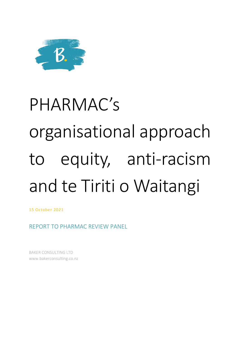

# PHARMAC's organisational approach to equity, anti-racism and te Tiriti o Waitangi

15 October 2021

REPORT TO PHARMAC REVIEW PANEL

BAKER CONSULTING LTD www.bakerconsulting.co.nz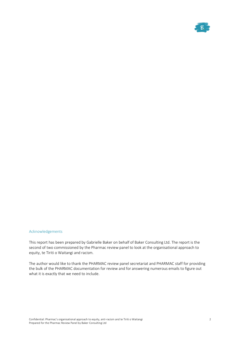

#### Acknowledgements

This report has been prepared by Gabrielle Baker on behalf of Baker Consulting Ltd. The report is the second of two commissioned by the Pharmac review panel to look at the organisational approach to equity, te Tiriti o Waitangi and racism.

The author would like to thank the PHARMAC review panel secretariat and PHARMAC staff for providing the bulk of the PHARMAC documentation for review and for answering numerous emails to figure out what it is exactly that we need to include.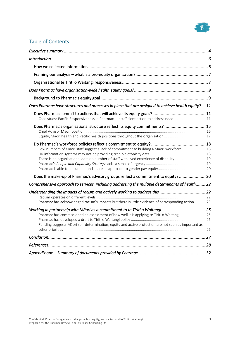![](_page_2_Picture_0.jpeg)

# Table of Contents

| Does Pharmac have structures and processes in place that are designed to achieve health equity?  11                                                                                               |  |
|---------------------------------------------------------------------------------------------------------------------------------------------------------------------------------------------------|--|
| Case study: Pacific Responsiveness in Pharmac - insufficient action to address need 11                                                                                                            |  |
| Does Pharmac's organisational structure reflect its equity commitments?  15                                                                                                                       |  |
| Low numbers of Māori staff suggest a lack of commitment to building a Māori workforce  18<br>There is no organisational data on number of staff with lived experience of disability 19            |  |
| Does the make-up of Pharmac's advisory groups reflect a commitment to equity? 20                                                                                                                  |  |
| Comprehensive approach to services, including addressing the multiple determinants of health 22                                                                                                   |  |
| Pharmac has acknowledged racism's impacts but there is little evidence of corresponding action 23                                                                                                 |  |
| Pharmac has commissioned an assessment of how well it is applying te Tiriti o Waitangi 25<br>Funding suggests Māori self-determination, equity and active protection are not seen as important as |  |
|                                                                                                                                                                                                   |  |
|                                                                                                                                                                                                   |  |
|                                                                                                                                                                                                   |  |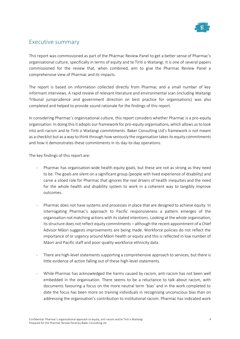![](_page_3_Picture_0.jpeg)

# Executive summary

This report was commissioned as part of the Pharmac Review Panel to get a better sense of Pharmac's organisational culture, specifically in terms of equity and te Tiriti o Waitangi. It is one of several papers commissioned for the review that, when combined, aim to give the Pharmac Review Panel a comprehensive view of Pharmac and its impacts.

The report is based on information collected directly from Pharmac and a small number of key informant interviews. A rapid review of relevant literature and environmental scan (including Waitangi Tribunal jurisprudence and government direction on best practice for organisations) was also completed and helped to provide sound rationale for the findings of this report.

In considering Pharmac's organisational culture, this report considers whether Pharmac is a pro-equity organisation. In doing this it adopts our framework for pro-equity organisations, which allows us to look into anti-racism and te Tiriti o Waitangi commitments. Baker Consulting Ltd's framework is not meant as a checklist but as a way to think through how seriously the organisation takes its equity commitments and how it demonstrates these commitments in its day-to-day operations.

The key findings of this report are:

- Pharmac has organisation-wide health equity goals, but these are not as strong as they need to be. The goals are silent on a significant group (people with lived experience of disability) and carve a siloed role for Pharmac that ignores the real drivers of health inequities and the need for the whole health and disability system to work in a coherent way to tangibly improve outcomes.
- Pharmac does not have systems and processes in place that are designed to achieve equity. In interrogating Pharmac's approach to Pacific responsiveness a pattern emerges of the organisation not matching actions with its stated intentions. Looking at the whole organisation, its structure does not reflect equity commitments – although the recent appointment of a Chief Advisor Māori suggests improvements are being made. Workforce policies do not reflect the importance of or urgency around Māori health or equity and this is reflected in low number of Māori and Pacific staff and poor-quality workforce ethnicity data.
- There are high-level statements supporting a comprehensive approach to services, but there is little evidence of action falling out of these high-level statements.
- While Pharmac has acknowledged the harms caused by racism, anti-racism has not been well embedded in the organisation. There seems to be a reluctance to talk about racism, with documents favouring a focus on the more neutral term 'bias' and in the work completed to date the focus has been more on training individuals in recognising unconscious bias than on addressing the organisation's contribution to institutional racism. Pharmac has indicated work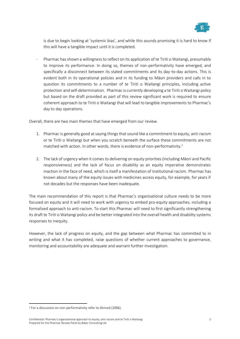![](_page_4_Picture_0.jpeg)

is due to begin looking at 'systemic bias', and while this sounds promising it is hard to know if this will have a tangible impact until it is completed.

- Pharmac has shown a willingness to reflect on its application of te Tiriti o Waitangi, presumably to improve its performance. In doing so, themes of non-performativity have emerged, and specifically a disconnect between its stated commitments and its day-to-day actions. This is evident both in its operational policies and in its funding to Māori providers and calls in to question its commitments to a number of te Tiriti o Waitangi principles, including active protection and self-determination. Pharmac is currently developing a te Tiriti o Waitangi policy but based on the draft provided as part of this review significant work is required to ensure coherent approach to te Tiriti o Waitangi that will lead to tangible improvements to Pharmac's day to day operations.

Overall, there are two main themes that have emerged from our review.

- 1. Pharmac is generally good at saying things that sound like a commitment to equity, anti-racism or te Tiriti o Waitangi but when you scratch beneath the surface these commitments are not matched with action. In other words, there is evidence of non-performativity.<sup>1</sup>
- 2. The lack of urgency when it comes to delivering on equity priorities (including Māori and Pacific responsiveness) and the lack of focus on disability as an equity imperative demonstrates inaction in the face of need, which is itself a manifestation of institutional racism. Pharmac has known about many of the equity issues with medicines access equity, for example, for years if not decades but the responses have been inadequate.

The main recommendation of this report is that Pharmac's organisational culture needs to be more focused on equity and it will need to work with urgency to embed pro-equity approaches, including a formalised approach to anti-racism. To start this Pharmac will need to first significantly strengthening its draft te Tiriti o Waitangi policy and be better integrated into the overall health and disability systems responses to inequity.

However, the lack of progress on equity, and the gap between what Pharmac has committed to in writing and what it has completed, raise questions of whether current approaches to governance, monitoring and accountability are adequate and warrant further investigation.

<sup>&</sup>lt;sup>1</sup> For a discussion on non-performativity refer to Ahmed (2006).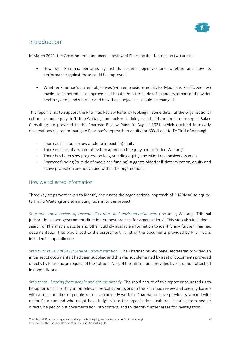![](_page_5_Picture_0.jpeg)

# Introduction

In March 2021, the Government announced a review of Pharmac that focuses on two areas:

- How well Pharmac performs against its current objectives and whether and how its performance against these could be improved.
- Whether Pharmac's current objectives (with emphasis on equity for Māori and Pacific peoples) maximise its potential to improve health outcomes for all New Zealanders as part of the wider health system, and whether and how these objectives should be changed.

This report aims to support the Pharmac Review Panel by looking in some detail at the organisational culture around equity, te Tiriti o Waitangi and racism. In doing so, it builds on the interim report Baker Consulting Ltd provided to the Pharmac Review Panel in August 2021, which outlined four early observations related primarily to Pharmac's approach to equity for Māori and to Te Tiriti o Waitangi.

- Pharmac has too narrow a role to impact (in)equity
- There is a lack of a whole-of-system approach to equity and te Tiriti o Waitangi
- There has been slow progress on long-standing equity and Māori responsiveness goals
- Pharmac funding (outside of medicines funding) suggests Māori self-determination, equity and active protection are not valued within the organisation.

## How we collected information

Three key steps were taken to identify and assess the organisational approach of PHARMAC to equity, te Tiriti o Waitangi and eliminating racism for this project.

*Step one: rapid review of relevant literature and environmental scan* (including Waitangi Tribunal jurisprudence and government direction on best practice for organisations). This step also included a search of Pharmac's website and other publicly available information to identify any further Pharmac documentation that would add to the assessment. A list of the documents provided by Pharmac is included in appendix one.

*Step two: review of key PHARMAC documentation.* The Pharmac review panel secretariat provided an initial set of documents it had been supplied and this was supplemented by a set of documents provided directly by Pharmac on request of the authors. A list of the information provided by Pharamc is attached in appendix one.

*Step three: hearing from people and groups directly.* The rapid nature of this report encouraged us to be opportunistic, sitting in on relevant verbal submissions to the Pharmac review and seeking kōrero with a small number of people who have currently work for Pharmac or have previously worked with or for Pharmac and who might have insights into the organisation's culture. Hearing from people directly helped to put documentation into context, and to identify further areas for investigation.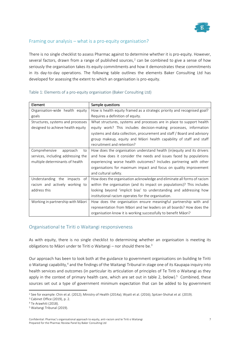![](_page_6_Picture_0.jpeg)

## Framing our analysis – what is a pro-equity organisation?

There is no single checklist to assess Pharmac against to determine whether it is pro-equity. However, several factors, drawn from a range of published sources, $<sup>2</sup>$  can be combined to give a sense of how</sup> seriously the organisation takes its equity commitments and how it demonstrates these commitments in its day-to-day operations. The following table outlines the elements Baker Consulting Ltd has developed for assessing the extent to which an organisation is pro-equity.

| Element                            | Sample questions                                                         |
|------------------------------------|--------------------------------------------------------------------------|
| Organisation-wide health equity    | How is health equity framed as a strategic priority and recognised goal? |
| goals                              | Requires a definition of equity.                                         |
| Structures, systems and processes  | What structures, systems and processes are in place to support health    |
| designed to achieve health equity  | equity work? This includes decision-making processes, information        |
|                                    | systems and data collection, procurement and staff / Board and advisory  |
|                                    | group makeup, equity and Māori health capability of staff and staff      |
|                                    | recruitment and retention?                                               |
| Comprehensive<br>approach<br>to    | How does the organisation understand health (in)equity and its drivers   |
| services, including addressing the | and how does it consider the needs and issues faced by populations       |
| multiple determinants of health    | experiencing worse health outcomes? Includes partnering with other       |
|                                    | organisations for maximum impact and focus on quality improvement        |
|                                    | and cultural safety.                                                     |
| Understanding the impacts<br>of    | How does the organisation acknowledge and eliminate all forms of racism  |
| racism and actively working to     | within the organisation (and its impact on populations)? This includes   |
| address this                       | looking beyond 'implicit bias' to understanding and addressing how       |
|                                    | institutional racism operates for the organisation.                      |
| Working in partnership with Māori  | How does the organisation ensure meaningful partnership with and         |
|                                    | representation from Māori and Iwi leaders on all boards? How does the    |
|                                    | organisation know it is working successfully to benefit Māori?           |

## Table 1: Elements of a pro-equity organisation (Baker Consulting Ltd)

## Organisational te Tiriti o Waitangi responsiveness

As with equity, there is no single checklist to determining whether an organisation is meeting its obligations to Māori under te Tiriti o Waitangi – nor should there be.<sup>3</sup>

Our approach has been to look both at the guidance to government organisations on building te Tiriti o Waitangi capability,<sup>4</sup> and the findings of the Waitangi Tribunal in stage one of its Kaupapa inquiry into health services and outcomes (in particular its articulation of principles of Te Tiriti o Waitangi as they apply in the context of primary health care, which are set out in table 2, below).<sup>5</sup> Combined, these sources set out a type of government minimum expectation that can be added to by government

<sup>&</sup>lt;sup>2</sup> See for example: Chin et al. (2012); Ministry of Health (2014a); Wyatt et al. (2016); Spitzer-Shohat et al. (2019).

<sup>3</sup> Cabinet Office (2019), p. 2.

<sup>4</sup> Te Arawhiti (2018).

<sup>5</sup> Waitangi Tribunal (2019).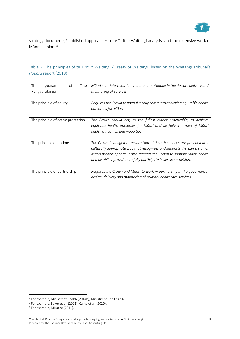![](_page_7_Picture_0.jpeg)

strategy documents,<sup>6</sup> published approaches to te Tiriti o Waitangi analysis<sup>7</sup> and the extensive work of Māori scholars.<sup>8</sup>

| Table 2: The principles of te Tiriti o Waitangi / Treaty of Waitangi, based on the Waitangi Tribunal's |  |  |  |  |  |  |
|--------------------------------------------------------------------------------------------------------|--|--|--|--|--|--|
| Hauora report (2019)                                                                                   |  |  |  |  |  |  |

| The<br>of<br>Tino<br>guarantee<br>Rangatiratanga | Māori self-determination and mana motuhake in the design, delivery and<br>monitoring of services                                                                                                                                                                                                          |
|--------------------------------------------------|-----------------------------------------------------------------------------------------------------------------------------------------------------------------------------------------------------------------------------------------------------------------------------------------------------------|
| The principle of equity                          | Requires the Crown to unequivocally commit to achieving equitable health<br>outcomes for Māori                                                                                                                                                                                                            |
| The principle of active protection               | The Crown should act, to the fullest extent practicable, to achieve<br>equitable health outcomes for Māori and be fully informed of Māori<br>health outcomes and inequities                                                                                                                               |
| The principle of options                         | The Crown is obliged to ensure that all health services are provided in a<br>culturally appropriate way that recognises and supports the expression of<br>Māori models of care. It also requires the Crown to support Māori health<br>and disability providers to fully participate in service provision. |
| The principle of partnership                     | Requires the Crown and Māori to work in partnership in the governance,<br>design, delivery and monitoring of primary healthcare services.                                                                                                                                                                 |

<sup>6</sup> For example, Ministry of Health (2014b); Ministry of Health (2020).

<sup>7</sup> For example, Baker et al. (2021), Came et al. (2020).

<sup>8</sup> For example, Mikaere (2011).

Confidential: Pharmac's organisational approach to equity, anti-racism and te Tiriti o Waitangi Prepared for the Pharmac Review Panel by Baker Consulting Ltd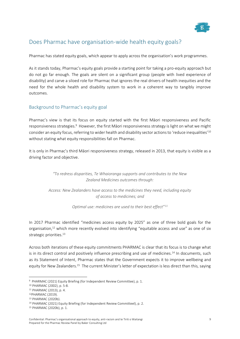![](_page_8_Picture_0.jpeg)

# Does Pharmac have organisation-wide health equity goals?

Pharmac has stated equity goals, which appear to apply across the organisation's work programmes.

As it stands today, Pharmac's equity goals provide a starting point for taking a pro-equity approach but do not go far enough. The goals are silent on a significant group (people with lived experience of disability) and carve a siloed role for Pharmac that ignores the real drivers of health inequities and the need for the whole health and disability system to work in a coherent way to tangibly improve outcomes.

## Background to Pharmac's equity goal

Pharmac's view is that its focus on equity started with the first Māori responsiveness and Pacific responsiveness strategies.<sup>9</sup> However, the first Māori responsiveness strategy is light on what we might consider an equity focus, referring to wider health and disability sector actions to 'reduce inequalities'<sup>10</sup> without stating what equity responsibilities fall on Pharmac.

It is only in Pharmac's third Māori responsiveness strategy, released in 2013, that equity is visible as a driving factor and objective.

> *"To redress disparities, Te Whaioranga supports and contributes to the New Zealand Medicines outcomes through:*

*Access: New Zealanders have access to the medicines they need, including equity of access to medicines; and*

*Optimal use: medicines are used to their best effect"<sup>11</sup>*

In 2017 Pharmac identified "medicines access equity by 2025" as one of three bold goals for the organisation,<sup>12</sup> which more recently evolved into identifying "equitable access and use" as one of six strategic priorities.<sup>13</sup>

Across both iterations of these equity commitments PHARMAC is clear that its focus is to change what is in its direct control and positively influence prescribing and use of medicines.<sup>14</sup> In documents, such as its Statement of Intent, Pharmac states that the Government expects it to improve wellbeing and equity for New Zealanders.<sup>15</sup> The current Minister's letter of expectation is less direct than this, saying

<sup>9</sup> PHARMAC (2021) Equity Briefing (for Independent Review Committee), p. 1.

<sup>10</sup> PHARMAC (2002), p. 5-8.

<sup>11</sup> PHARMAC (2013), p. 4.

<sup>12</sup>PHARMAC (2019).

<sup>13</sup> PHARMAC (2020b).

<sup>14</sup> PHARMAC (2021) Equity Briefing (for Independent Review Committeel), p. 2.

<sup>15</sup> PHARMAC (2020b), p. 1.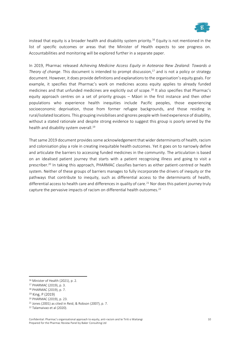![](_page_9_Picture_0.jpeg)

instead that equity is a broader health and disability system priority.<sup>16</sup> Equity is not mentioned in the list of specific outcomes or areas that the Minister of Health expects to see progress on. Accountabilities and monitoring will be explored further in a separate paper.

In 2019, Pharmac released *Achieving Medicine Access Equity in Aotearoa New Zealand: Towards a Theory of change*. This document is intended to prompt discussion,<sup>17</sup> and is not a policy or strategy document. However, it does provide definitions and explanations to the organisation's equity goals. For example, it specifies that Pharmac's work on medicines access equity applies to already funded medicines and that unfunded medicines are explicitly out of scope.<sup>18</sup> It also specifies that Pharmac's equity approach centres on a set of priority groups – Māori in the first instance and then other populations who experience health inequities include Pacific peoples, those experiencing socioeconomic deprivation, those from former refugee backgrounds, and those residing in rural/isolated locations. This grouping invisibilises and ignores people with lived experience of disability, without a stated rationale and despite strong evidence to suggest this group is poorly served by the health and disability system overall. 19

That same 2019 document provides some acknowledgement that wider determinants of health, racism and colonisation play a role in creating inequitable health outcomes. Yet it goes on to narrowly define and articulate the barriers to accessing funded medicines in the community. The articulation is based on an idealised patient journey that starts with a patient recognising illness and going to visit a prescriber.<sup>20</sup> In taking this approach, PHARMAC classifies barriers as either patient-centred or health system. Neither of these groups of barriers manages to fully incorporate the drivers of inequity or the pathways that contribute to inequity, such as differential access to the determinants of health, differential access to health care and differences in quality of care.<sup>21</sup> Nor does this patient journey truly capture the pervasive impacts of racism on differential health outcomes.<sup>22</sup>

<sup>16</sup> Minister of Health (2021), p. 2.

<sup>17</sup> PHARMAC (2019), p. 3.

<sup>18</sup> PHARMAC (2019), p. 7.

<sup>19</sup> King, P (2019)

<sup>20</sup> PHARMAC (2019), p. 23.

<sup>21</sup> Jones (2001) as cited in Reid, & Robson (2007), p. 7.

<sup>22</sup> Talamaivao et al (2020).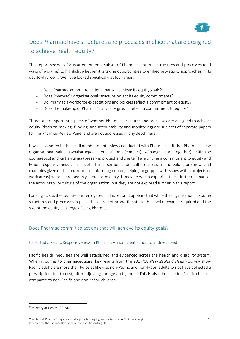![](_page_10_Picture_0.jpeg)

# Does Pharmac have structures and processes in place that are designed to achieve health equity?

This report seeks to focus attention on a subset of Pharmac's internal structures and processes (and ways of working) to highlight whether it is taking opportunities to embed pro-equity approaches in its day-to-day work. We have looked specifically at four areas:

- Does Pharmac commit to actions that will achieve its equity goals?
- Does Pharmac's organisational structure reflect its equity commitments?
- Do Pharmac's workforce expectations and policies reflect a commitment to equity?
- Does the make-up of Pharmac's advisory groups reflect a commitment to equity?

Three other important aspects of whether Pharmac structures and processes are designed to achieve equity (decision-making, funding, and accountability and monitoring) are subjects of separate papers for the Pharmac Review Panel and are not addressed in any depth here.

It was also noted in the small number of interviews conducted with Pharmac staff that Pharmac's new organisational values (whakarongo (listen), tūhono (connect), wānanga (learn together), māia (be courageous) and kaitiakitanga (preserve, protect and shelter)) are driving a commitment to equity and Māori responsiveness at all levels. This assertion is difficult to assess as the values are new, and examples given of their current use (informing debate, helping to grapple with issues within projects or work areas) were expressed in general terms only. It may be worth exploring these further as part of the accountability culture of the organisation, but they are not explored further in this report.

Looking across the four areas interrogated in this report it appears that while the organisation has some structures and processes in place these are not proportionate to the level of change required and the size of the equity challenges facing Pharmac.

## Does Pharmac commit to actions that will achieve its equity goals?

## Case study: Pacific Responsiveness in Pharmac – insufficient action to address need

Pacific health inequities are well established and evidenced across the health and disability system. When it comes to pharmaceuticals, key results from the 2017/18 *New Zealand Health Survey* show Pacific adults are more than twice as likely as non-Pacific and non-Māori adults to not have collected a prescription due to cost, after adjusting for age and gender. This is also the case for Pacific children compared to non-Pacific and non-Māori children.<sup>23</sup>

<sup>23</sup>Ministry of Health (2019).

Confidential: Pharmac's organisational approach to equity, anti-racism and te Tiriti o Waitangi Prepared for the Pharmac Review Panel by Baker Consulting Ltd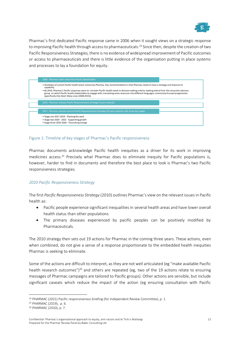![](_page_11_Picture_0.jpeg)

Pharmac's first dedicated Pacific response came in 2006 when it sought views on a strategic response to improving Pacific health through access to pharmaceuticals.<sup>24</sup> Since then, despite the creation of two Pacific Responsiveness Strategies, there is no evidence of widespread improvement of Pacific outcomes or access to pharmaceuticals and there is little evidence of the organisation putting in place systems and processes to lay a foundation for equity.

![](_page_11_Figure_2.jpeg)

## Figure 1: Timeline of key stages of Pharmac's Pacific responsiveness

Pharmac documents acknowledge Pacific health inequities as a driver for its work in improving medicines access.<sup>25</sup> Precisely what Pharmac does to eliminate inequity for Pacific populations is, however, harder to find in documents and therefore the best place to look is Pharmac's two Pacific responsiveness strategies.

## *2010 Pacific Responsiveness Strategy*

The first *Pacific Responsiveness Strategy* (2010) outlines Pharmac's view on the relevant issues in Pacific health as:

- Pacific people experience significant inequalities in several health areas and have lower overall health status than other populations
- The primary diseases experienced by pacific peoples can be positively modified by Pharmaceuticals.

The 2010 strategy then sets out 19 actions for Pharmac in the coming three years. These actions, even when combined, do not give a sense of a response proportionate to the embedded health inequities Pharmac is seeking to eliminate.

Some of the actions are difficult to interpret, as they are not well articulated (eg "make available Pacific health research outcomes")<sup>26</sup> and others are repeated (eg, two of the 19 actions relate to ensuring messages of Pharmac campaigns are tailored to Pacific groups). Other actions are sensible, but include significant caveats which reduce the impact of the action (eg ensuring consultation with Pacific

<sup>24</sup> PHARMAC (2021) Pacific responsiveness briefing (for Independent Review Committee), p. 1.

<sup>25</sup> PHARMAC (2019), p. 6.

<sup>26</sup> PHARMAC (2010), p. 7.

Confidential: Pharmac's organisational approach to equity, anti-racism and te Tiriti o Waitangi Prepared for the Pharmac Review Panel by Baker Consulting Ltd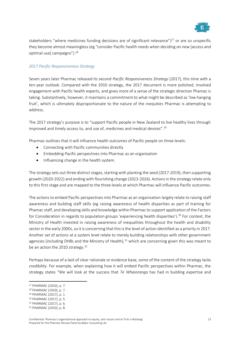![](_page_12_Picture_0.jpeg)

stakeholders "where medicines funding decisions are of significant relevance")<sup>27</sup> or are so unspecific they become almost meaningless (eg "consider Pacific health needs when deciding on new [access and optimal use] campaigns").<sup>28</sup>

## *2017 Pacific Responsiveness Strategy*

Seven years later Pharmac released its second *Pacific Responsiveness Strategy* (2017), this time with a ten-year outlook. Compared with the 2010 strategy, the 2017 document is more polished, involved engagement with Pacific health experts, and gives more of a sense of the strategic direction Phamac is taking. Substantively, however, it maintains a commitment to what might be described as 'low hanging fruit', which is ultimately disproportionate to the nature of the inequities Pharmac is attempting to address.

The 2017 strategy's purpose is to "support Pacific people in New Zealand to live healthy lives through improved and timely access to, and use of, medicines and medical devices".<sup>29</sup>

Pharmac outlines that it will influence health outcomes of Pacific people on three levels:

- Connecting with Pacific communities directly
- Embedding Pacific perspectives into Pharmac as an organisation
- Influencing change in the health system.

The strategy sets out three distinct stages, starting with planting the seed (2017-2019), then supporting growth (2020-2022) and ending with flourishing change (2023-2026). Actions in the strategy relate only to this first stage and are mapped to the three levels at which Pharmac will influence Pacific outcomes.

The actions to embed Pacific perspectives into Pharmac as an organisation largely relate to raising staff awareness and building staff skills (eg raising awareness of health disparities as part of training for Phamac staff, and developing skills and knowledge within Pharmac to support application of the Factors for Consideration in regards to population groups 'experiencing health disparities'). <sup>30</sup> For context, the Ministry of Health invested in raising awareness of inequalities throughout the health and disability sector in the early 2000s, so it is concerning that this is the level of action identified as a priority in 2017. Another set of actions at a system level relate to merely building relationships with other government agencies (including DHBs and the Ministry of Health),  $31$  which are concerning given this was meant to be an action the 2010 strategy.<sup>32</sup>

Perhaps because of a lack of clear rationale or evidence base, some of the content of the strategy lacks credibility. For example, when explaining how it will embed Pacific perspectives within Pharmac, the strategy states "We will look at the success that *Te Whaioranga* has had in building expertise and

<sup>27</sup> PHARMAC (2010), p. 7.

<sup>28</sup> PHARMAC (2010), p. 7.

<sup>29</sup> PHARMAC (2017), p. 1.

<sup>30</sup> PHARMAC (2017), p. 5.

<sup>31</sup> PHARMAC (2017), p. 6.

<sup>32</sup> PHARMAC (2010), p. 8.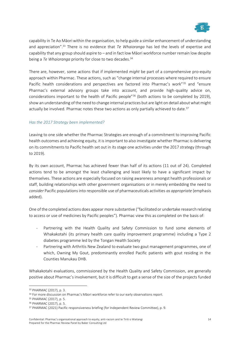![](_page_13_Picture_0.jpeg)

capability in Te Ao Māori within the organisation, to help guide a similar enhancement of understanding and appreciation".<sup>33</sup> There is no evidence that *Te Whaioranga* has led the levels of expertise and capability that any group should aspire to – and in fact low Māori workforce number remain low despite being a *Te Whaioranga* priority for close to two decades.<sup>34</sup>

There are, however, some actions that if implemented *might* be part of a comprehensive pro-equity approach within Pharmac. These actions, such as "change internal processes where required to ensure Pacific health considerations and perspectives are factored into Pharmac's work"<sup>35</sup> and "ensure Pharmac's external advisory groups take into account, and provide high-quality advice on, considerations important to the health of Pacific people"<sup>36</sup> (both actions to be completed by 2019), show an understanding of the need to change internal practices but are light on detail about what might actually be involved. Pharmac notes these two actions as only partially achieved to date.<sup>37</sup>

## *Has the 2017 Strategy been implemented?*

Leaving to one side whether the Pharmac Strategies are enough of a commitment to improving Pacific health outcomes and achieving equity, it is important to also investigate whether Pharmac is delivering on its commitments to Pacific health set out in its stage one activities under the 2017 strategy (through to 2019).

By its own account, Pharmac has achieved fewer than half of its actions (11 out of 24). Completed actions tend to be amongst the least challenging and least likely to have a significant impact by themselves. These actions are especially focused on raising awareness amongst health professionals or staff, building relationships with other government organisations or in merely embedding the need to *consider* Pacific populations into responsible use of pharmaceuticals activities *as appropriate* (emphasis added).

One of the completed actions does appear more substantive ("facilitated or undertake research relating to access or use of medicines by Pacific peoples"). Pharmac view this as completed on the basis of:

- Partnering with the Health Quality and Safety Commission to fund some elements of Whakakotahi (its primary health care quality improvement programme) including a Type 2 diabetes programme led by the Tongan Health Society
- Partnering with Arthritis New Zealand to evaluate two gout management programmes, one of which, Owning My Gout, predominantly enrolled Pacific patients with gout residing in the Counties Manukau DHB.

Whakakotahi evaluations, commissioned by the Health Quality and Safety Commission, are generally positive about Pharmac's involvement, but it is difficult to get a sense of the size of the projects funded

<sup>33</sup> PHARMAC (2017), p. 3.

<sup>&</sup>lt;sup>34</sup> For more discussion on Pharmac's Māori workforce refer to our early observations report.

<sup>35</sup> PHARMAC (2017), p. 5.

<sup>36</sup> PHARMAC (2017), p. 5.

<sup>&</sup>lt;sup>37</sup> PHARMAC (2021) Pacific responsiveness briefing (for Independent Review Committee), p. 9.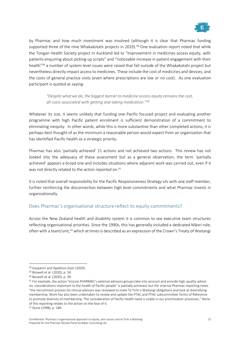![](_page_14_Picture_0.jpeg)

by Pharmac and how much investment was involved (although it is clear that Pharmac funding supported three of the nine Whakakotahi projects in 2019).<sup>38</sup> One evaluation report noted that while the Tongan Health Society project in Auckland led to "improvement in medicines access equity, with patients enquiring about picking up scripts" and "noticeable increase in patient engagement with their health"<sup>39</sup> a number of system level issues were raised that fall outside of the Whakakotahi project but nevertheless directly impact access to medicines. These include the cost of medicines and devices, and the costs of general practice visits (even where prescriptions are low or no cost). As one evaluation participant is quoted as saying:

*"Despite what we do, the biggest barrier to medicine access equity remains the cost, all costs associated with getting and taking medication."<sup>40</sup>*

Whatever its size, it seems unlikely that funding one Pacific focused project and evaluating another programme with high Pacific patient enrolment is sufficient demonstration of a commitment to eliminating inequity. In other words, while this is more substantive than other completed actions, it is perhaps best thought of as the minimum a reasonable person would expect from an organisation that has identified Pacific health as a strategic priority.

Pharmac has also 'partially achieved' 11 actions and not achieved two actions. This review has not looked into the adequacy of these assessment but as a general observation, the term 'partially achieved' appears a broad one and includes situations where adjacent work was carried out, even if it was not directly related to the action reported on.<sup>41</sup>

It is noted that overall responsibility for the Pacific Responsiveness Strategy sits with one staff member, further reinforcing the disconnection between high level commitments and what Pharmac invests in organisationally.

## Does Pharmac's organisational structure reflect its equity commitments?

Across the New Zealand health and disability system it is common to see executive team structures reflecting organisational priorities. Since the 1990s, this has generally included a dedicated Māori role, often with a team/unit,<sup>42</sup> which at times is described as an expression of the Crown's Treaty of Waitangi

<sup>38</sup> Gasparini and Appleton-Dyer (2020).

<sup>39</sup> Boswell et al. (2020), p. 34.

<sup>40</sup> Boswell et al. (2020), p. 39.

<sup>&</sup>lt;sup>41</sup> For example, the action "ensure PHARMAC's external advisory groups take into account and provide high-quality advice on, considerations important to the health of Pacific people" is partially achieved, but the internal Pharmac reporting notes "the recruitment process for clinical advisors was reviewed to meet Te Tiriti o Waitangi obligations and look at diversifying membership. Work has also been undertaken to review and update the PTAC and PTAC subcommittee Terms of Reference to promote diversity of membership. The consideration of Pacific health need is visible in our prioritisation processes." None of this reporting relates to the action on the face of it.

<sup>42</sup> Durie (1998), p. 189.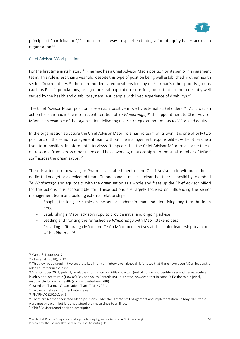![](_page_15_Picture_0.jpeg)

principle of "participation",<sup>43</sup> and seen as a way to spearhead integration of equity issues across an organisation.<sup>44</sup>

#### Chief Advisor Māori position

For the first time in its history,<sup>45</sup> Pharmac has a Chief Advisor Māori position on its senior management team. This role is less than a year old, despite this type of position being well established in other health sector Crown entities.<sup>46</sup> There are no dedicated positions for any of Pharmac's other priority groups (such as Pacific populations, refugee or rural populations) nor for groups that are not currently well served by the health and disability system (e.g. people with lived experience of disability).<sup>47</sup>

The Chief Advisor Māori position is seen as a positive move by external stakeholders.<sup>48</sup> As it was an action for Pharmac in the most recent iteration of *Te Whaioranga,* 49 the appointment to Chief Advisor Māori is an example of the organisation delivering on its strategic commitments to Māori and equity.

In the organisation structure the Chief Advisor Māori role has no team of its own. It is one of only two positions on the senior management team without line management responsibilities – the other one a fixed term position. In informant interviews, it appears that the Chief Advisor Māori role is able to call on resource from across other teams and has a working relationship with the small number of Māori staff across the organisation.<sup>50</sup>

There is a tension, however, in Pharmac's establishment of the Chief Advisor role without either a dedicated budget or a dedicated team. On one hand, it makes it clear that the responsibility to embed *Te Whaioranga* and equity sits with the organisation as a whole and frees up the Chief Advisor Māori for the actions it is accountable for. These actions are largely focused on influencing the senior management team and building external relationships:

- Shaping the long-term role on the senior leadership team and identifying long-term business need
- Establishing a Māori advisory rōpū to provide initial and ongoing advice
- Leading and fronting the refreshed *Te Whaioranga* with Māori stakeholders
- Providing mātauranga Māori and Te Ao Māori perspectives at the senior leadership team and within Pharmac.<sup>51</sup>

<sup>43</sup> Came & Tudor (2017).

<sup>44</sup> Chin et al. (2018), p. 13.

<sup>45</sup> This view was shared in two separate key informant interviews, although it is noted that there have been Māori leadership roles at 3rd tier in the past.

<sup>46</sup>As at October 2021, publicly available information on DHBs show two (out of 20) do not identify a second tier (executivelevel) Māori health role (Hawke's Bay and South Canterbury). It is noted, however, that in some DHBs the role is jointly responsible for Pacific health (such as Canterbury DHB).

<sup>47</sup> Based on Pharmac Organisation Chart, 7 May 2021.

<sup>48</sup> Two external key informant interviews.

<sup>49</sup> PHARMAC (2020c), p. 8.

<sup>50</sup> There are 6 other dedicated Māori positions under the Director of Engagement and Implementation. In May 2021 these were mostly vacant but it is understood they have since been filled.

<sup>51</sup> Chief Advisor Māori position description.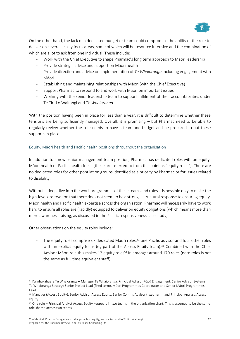![](_page_16_Picture_0.jpeg)

On the other hand, the lack of a dedicated budget or team could compromise the ability of the role to deliver on several its key focus areas, some of which will be resource intensive and the combination of which are a lot to ask from one individual. These include:

- Work with the Chief Executive to shape Pharmac's long term approach to Māori leadership
- Provide strategic advice and support on Māori health
- Provide direction and advice on implementation of *Te Whaioranga* including engagement with Māori
- Establishing and maintaining relationships with Māori (with the Chief Executive)
- Support Pharmac to respond to and work with Māori on important issues
- Working with the senior leadership team to support fulfilment of their accountabilities under Te Tiriti o Waitangi and *Te Whaioranga*.

With the position having been in place for less than a year, it is difficult to determine whether these tensions are being sufficiently managed. Overall, it is promising – but Pharmac need to be able to regularly review whether the role needs to have a team and budget and be prepared to put these supports in place.

## Equity, Māori health and Pacific health positions throughout the organisation

In addition to a new senior management team position, Pharmac has dedicated roles with an equity, Māori health or Pacific health focus (these are referred to from this point as "equity roles"). There are no dedicated roles for other population groups identified as a priority by Pharmac or for issues related to disability.

Without a deep dive into the work programmes of these teams and roles it is possible only to make the high-level observation that there does not seem to be a strong a structural response to ensuring equity, Māori health and Pacific health expertise across the organisation. Pharmac will necessarily have to work hard to ensure all roles are (rapidly) equipped to deliver on equity obligations (which means more than mere awareness raising, as discussed in the Pacific responsiveness case study).

Other observations on the equity roles include:

- The equity roles comprise six dedicated Māori roles,<sup>52</sup> one Pacific advisor and four other roles with an explicit equity focus (eg part of the Access Equity team).<sup>53</sup> Combined with the Chief Advisor Māori role this makes 12 equity roles<sup>54</sup> in amongst around 170 roles (note roles is not the same as full time equivalent staff).

<sup>52</sup> Kaiwhakahaere Te Whaioranga – Manager Te Whaioranga, Principal Adivsor Rōpū Engagement, Senior Advisor Systems, Te Whaioranga Strategy Senior Project Lead (fixed term), Māori Programmes Coordinator and Senior Māori Programmes Lead.

<sup>53</sup> Manager (Access Equity), Senior Advisor Access Equity, Senior Comms Advisor (fixed term) and Principal Analyst, Access equity.

<sup>54</sup> One role – Principal Analyst Access Equity –appears in two teams in the organisation chart. This is assumed to be the same role shared across two teams.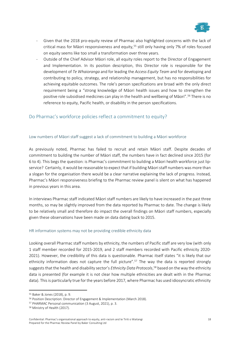![](_page_17_Picture_0.jpeg)

- Given that the 2018 pro-equity review of Pharmac also highlighted concerns with the lack of critical mass for Māori responsiveness and equity,<sup>55</sup> still only having only 7% of roles focused on equity seems like too small a transformation over three years.
- Outside of the Chief Advisor Māori role, all equity roles report to the Director of Engagement and Implementation. In its position description, this Director role is responsible for the development of *Te Whaioranga* and for leading the *Access Equity Team* and for developing and contributing to policy, strategy, and relationship management, but has no responsibilities for achieving equitable outcomes. The role's person specifications are broad with the only direct requirement being a "strong knowledge of Māori health issues and how to strengthen the positive role subsidised medicines can play in the health and wellbeing of Māori".<sup>56</sup> There is no reference to equity, Pacific health, or disability in the person specifications.

## Do Pharmac's workforce policies reflect a commitment to equity?

## Low numbers of Māori staff suggest a lack of commitment to building a Māori workforce

As previously noted, Pharmac has failed to recruit and retain Māori staff. Despite decades of commitment to building the number of Māori staff, the numbers have in fact declined since 2015 (for 6 to 4). This begs the question: is Pharmac's commitment to building a Māori health workforce just lipservice? Certainly, it would be reasonable to expect that if building Māori staff numbers was more than a slogan for the organisation there would be a clear narrative explaining the lack of progress. Instead, Pharmac's Māori responsiveness briefing to the Pharmac review panel is silent on what has happened in previous years in this area.

In interviews Pharmac staff indicated Māori staff numbers are likely to have increased in the past three months, so may be slightly improved from the data reported by Pharmac to date. The change is likely to be relatively small and therefore do impact the overall findings on Māori staff numbers, especially given these observations have been made on data dating back to 2015.

#### HR information systems may not be providing credible ethnicity data

Looking overall Pharmac staff numbers by ethnicity, the numbers of Pacific staff are very low (with only 1 staff member recorded for 2015-2019, and 2 staff members recorded with Pacific ethnicity 2020- 2021). However, the credibility of this data is questionable. Pharmac itself states "it is likely that our ethnicity information does not capture the full picture".<sup>57</sup> The way the data is reported strongly suggests that the health and disability sector's *Ethnicity Data Protocols*, <sup>58</sup> based on the way the ethnicity data is presented (for example it is not clear how multiple ethnicities are dealt with in the Pharmac data). This is particularly true for the years before 2017, where Pharmac has used idiosyncratic ethnicity

<sup>55</sup> Baker & Jones (2018), p. 9.

<sup>56</sup> Position Description: Director of Engagement & Implementation (March 2018).

<sup>57</sup> PHARMAC Personal communication (3 August, 2021), p. 3.

<sup>58</sup> Ministry of Health (2017).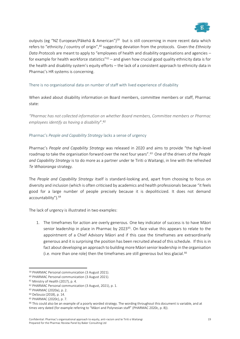![](_page_18_Picture_0.jpeg)

outputs (eg "NZ European/Pākehā & American")<sup>59</sup> but is still concerning in more recent data which refers to "ethnicity / country of origin",<sup>60</sup> suggesting deviation from the protocols. Given the *Ethnicity Data Protocols* are meant to apply to "employees of health and disability organisations and agencies – for example for health workforce statistics" $61 -$  and given how crucial good quality ethnicity data is for the health and disability system's equity efforts – the lack of a consistent approach to ethnicity data in Pharmac's HR systems is concerning.

## There is no organisational data on number of staff with lived experience of disability

When asked about disability information on Board members, committee members or staff, Pharmac state:

*"Pharmac has not collected information on whether Board members, Committee members or Pharmac employees identify as having a disability*".<sup>62</sup>

## Pharmac's *People and Capability Strategy* lacks a sense of urgency

Pharmac's *People and Capability Strategy* was released in 2020 and aims to provide "the high-level roadmap to take the organisation forward over the next four years".<sup>63</sup> One of the drivers of the *People and Capability Strategy* is to do more as a partner under te Tiriti o Waitangi, in line with the refreshed *Te Whaioranga* strategy.

The *People and Capability Strategy* itself is standard-looking and, apart from choosing to focus on diversity and inclusion (which is often criticised by academics and health professionals because "it feels good for a large number of people precisely because it is depoliticized. It does not demand accountability").<sup>64</sup>

The lack of urgency is illustrated in two examples:

1. The timeframes for action are overly generous. One key indicator of success is to have Māori senior leadership in place in Pharmac by 2023<sup>65</sup>. On face value this appears to relate to the appointment of a Chief Advisory Māori and if this case the timeframes are extraordinarily generous and it is surprising the position has been recruited ahead of this schedule. If this is in fact about developing an approach to building more Māori senior leadership in the organisation (i.e. more than one role) then the timeframes are still generous but less glacial.<sup>66</sup>

<sup>59</sup> PHARMAC Personal communication (3 August 2021).

<sup>60</sup> PHARMAC Personal communication (3 August 2021).

<sup>61</sup> Ministry of Health (2017), p. 4.

<sup>62</sup> PHARMAC Personal communication (3 August, 2021), p. 1.

<sup>63</sup> PHARMAC (2020a), p. 2.

<sup>64</sup> DeSouza (2018), p. 14.

<sup>65</sup> PHARMAC (2020c), p. 7.

<sup>&</sup>lt;sup>66</sup> This could also be an example of a poorly worded strategy. The wording throughout this document is variable, and at times very dated (for example refering to "Māori and Polynesian staff" (PHARMAC 2020c, p. 8)).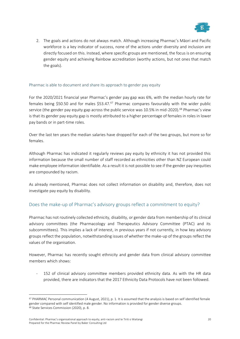![](_page_19_Picture_0.jpeg)

2. The goals and actions do not always match. Although increasing Pharmac's Māori and Pacific workforce is a key indicator of success, none of the actions under diversity and inclusion are directly focused on this. Instead, where specific groups are mentioned, the focus is on ensuring gender equity and achieving Rainbow accreditation (worthy actions, but not ones that match the goals).

#### Pharmac is able to document and share its approach to gender pay equity

For the 2020/2021 financial year Pharmac's gender pay gap was 6%, with the median hourly rate for females being \$50.50 and for males \$53.47.<sup>67</sup> Pharmac compares favourably with the wider public service (the gender pay equity gap across the public service was 10.5% in mid-2020).<sup>68</sup> Pharmac's view is that its gender pay equity gap is mostly attributed to a higher percentage of females in roles in lower pay bands or in part-time roles.

Over the last ten years the median salaries have dropped for each of the two groups, but more so for females.

Although Pharmac has indicated it regularly reviews pay equity by ethnicity it has not provided this information because the small number of staff recorded as ethnicities other than NZ European could make employee information identifiable. As a result it is not possible to see if the gender pay inequities are compounded by racism.

As already mentioned, Pharmac does not collect information on disability and, therefore, does not investigate pay equity by disability.

## Does the make-up of Pharmac's advisory groups reflect a commitment to equity?

Pharmac has not routinely collected ethnicity, disability, or gender data from membership of its clinical advisory committees (the Pharmacology and Therapeutics Advisory Committee (PTAC) and its subcommittees). This implies a lack of interest, in previous years if not currently, in how key advisory groups reflect the population, notwithstanding issues of whether the make-up of the groups reflect the values of the organisation.

However, Pharmac has recently sought ethnicity and gender data from clinical advisory committee members which shows:

- 152 of clinical advisory committee members provided ethnicity data. As with the HR data provided, there are indicators that the 2017 Ethnicity Data Protocols have not been followed.

<sup>67</sup> PHARMAC Personal communication (4 August, 2021), p. 1. It is assumed that the analysis is based on self identified female gender compared with self identified male gender. No information is provided for gender diverse groups. <sup>68</sup> State Services Commission (2020), p. 8.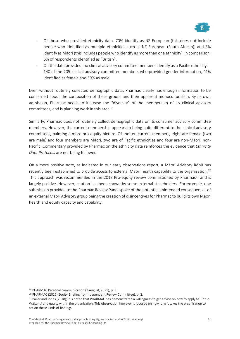![](_page_20_Picture_0.jpeg)

- Of those who provided ethnicity data, 70% identify as NZ European (this does not include people who identified as multiple ethnicities such as NZ European (South African)) and 3% identify as Māori (this includes people who identify as more than one ethnicity). In comparison, 6% of respondents identified as "British".
- On the data provided, no clinical advisory committee members identify as a Pacific ethnicity.
- 140 of the 205 clinical advisory committee members who provided gender information, 41% identified as female and 59% as male.

Even without routinely collected demographic data, Pharmac clearly has enough information to be concerned about the composition of these groups and their apparent monoculturalism. By its own admission, Pharmac needs to increase the "diversity" of the membership of its clinical advisory committees, and is planning work in this area.<sup>69</sup>

Similarly, Pharmac does not routinely collect demographic data on its consumer advisory committee members. However, the current membership appears to being quite different to the clinical advisory committees, painting a more pro-equity picture. Of the ten current members, eight are female (two are male) and four members are Māori, two are of Pacific ethnicities and four are non-Māori, non-Pacific. Commentary provided by Pharmac on the ethnicity data reinforces the evidence that *Ethnicity Data Protocols* are not being followed.

On a more positive note, as indicated in our early observations report, a Māori Advisory Rōpū has recently been established to provide access to external Māori health capability to the organisation.<sup>70</sup> This approach was recommended in the 2018 Pro-equity review commissioned by Pharmac<sup>71</sup> and is largely positive. However, caution has been shown by some external stakeholders. For example, one submission provided to the Pharmac Review Panel spoke of the potential unintended consequences of an external Māori Advisory group being the creation of disincentives for Pharmac to build its own Māori health and equity capacity and capability.

<sup>69</sup> PHARMAC Personal communication (3 August, 2021), p. 3.

<sup>70</sup> PHARMAC (2021) Equity Briefing (for Independent Review Committee), p. 2.

<sup>71</sup> Baker and Jones (2018); it is noted that PHARMAC has demonstrated a willingness to get advice on how to apply te Tiriti o Waitangi and equity within the organisation. This observation however is focused on how long it takes the organisation to act on these kinds of findings.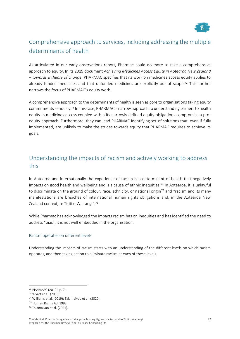![](_page_21_Picture_0.jpeg)

# Comprehensive approach to services, including addressing the multiple determinants of health

As articulated in our early observations report, Pharmac could do more to take a comprehensive approach to equity. In its 2019 document *Achieving Medicines Access Equity in Aotearoa New Zealand – towards a theory of change,* PHARMAC specifies that its work on medicines access equity applies to already funded medicines and that unfunded medicines are explicitly out of scope.<sup>72</sup> This further narrows the focus of PHARMAC's equity work.

A comprehensive approach to the determinants of health is seen as core to organisations taking equity commitments seriously.<sup>73</sup> In this case, PHARMAC's narrow approach to understanding barriers to health equity in medicines access coupled with a its narrowly defined equity obligations compromise a proequity approach. Furthermore, they can lead PHARMAC identifying set of solutions that, even if fully implemented, are unlikely to make the strides towards equity that PHARMAC requires to achieve its goals.

# Understanding the impacts of racism and actively working to address this

In Aotearoa and internationally the experience of racism is a determinant of health that negatively impacts on good health and wellbeing and is a cause of ethnic inequities.<sup>74</sup> In Aotearoa, it is unlawful to discriminate on the ground of colour, race, ethnicity, or national origin<sup>75</sup> and "racism and its many manifestations are breaches of international human rights obligations and, in the Aotearoa New Zealand context, te Tiriti o Waitangi".<sup>76</sup>

While Pharmac has acknowledged the impacts racism has on inequities and has identified the need to address "bias", it is not well embedded in the organisation.

## Racism operates on different levels

Understanding the impacts of racism starts with an understanding of the different levels on which racism operates, and then taking action to eliminate racism at each of these levels.

<sup>72</sup> PHARMAC (2019), p. 7.

<sup>73</sup> Wyatt et al. (2016).

<sup>74</sup> Williams et al. (2019); Talamaivao et al. (2020).

<sup>75</sup> Human Rights Act 1993

<sup>76</sup> Talamaivao et al. (2021).

Confidential: Pharmac's organisational approach to equity, anti-racism and te Tiriti o Waitangi Prepared for the Pharmac Review Panel by Baker Consulting Ltd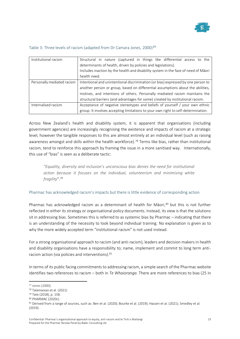![](_page_22_Picture_0.jpeg)

| Institutional racism       | Structural in nature (captured in things like differential access to the           |
|----------------------------|------------------------------------------------------------------------------------|
|                            | determinants of health, driven by policies and legislations).                      |
|                            | Includes inaction by the health and disability system in the face of need of Māori |
|                            | health need.                                                                       |
| Personally mediated racism | Intentional and unintentional discrimination (or bias) expressed by one person to  |
|                            | another person or group, based on differential assumptions about the abilities,    |
|                            | motives, and intentions of others. Personally mediated racism maintains the        |
|                            | structural barriers (and advantages for some) created by institutional racism.     |
| Internalised racism        | Acceptance of negative stereotypes and beliefs of yourself / your own ethnic       |
|                            | group. It involves accepting limitations to your own right to self-determination.  |

#### Table 3: Three levels of racism (adapted from Dr Camara Jones, 2000)<sup>77</sup>

Across New Zealand's health and disability system, it is apparent that organisations (including government agencies) are increasingly recognising the existence and impacts of racism at a strategic level, however the tangible responses to this are almost entirely at an individual level (such as raising awareness amongst and skills within the health workforce).<sup>78</sup> Terms like bias, rather than institutional racism, tend to reinforce this approach by framing the issue in a more sanitised way. Internationally, this use of "bias" is seen as a deliberate tactic:

*"Equality, diversity and inclusion's unconscious bias denies the need for institutional action because it focuses on the individual, volunteerism and minimising white fragility*".<sup>79</sup>

Pharmac has acknowledged racism's impacts but there is little evidence of corresponding action

Pharmac has acknowledged racism as a determinant of health for Māori,<sup>80</sup> but this is not further reflected in either its strategy or organisational policy documents. Instead, its view is that the solutions sit in addressing bias. Sometimes this is referred to as systemic bias by Pharmac – indicating that there is an understanding of the necessity to look beyond individual training. No explanation is given as to why the more widely accepted term "institutional racism" is not used instead.

For a strong organisational approach to racism (and anti-racism), leaders and decision makers in health and disability organisations have a responsibility to; name, implement and commit to long term antiracism action (via policies and interventions). <sup>81</sup>

In terms of its public facing commitments to addressing racism, a simple search of the Pharmac website identifies two references to racism – both in *Te Whaioranga*. There are more references to bias (25 in

<sup>77</sup> Jones (2000).

<sup>78</sup> Talamaivao et al. (2021)

<sup>79</sup> Tate (2018), p. 158.

<sup>80</sup> PHARMAC (2020c).

<sup>81</sup> Derived from a range of sources, such as: Ben et al. (2020); Bourke et al. (2019); Hassen et al. (2021); Smedley et al. (2019).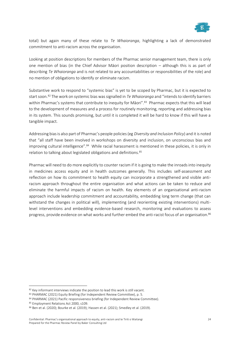![](_page_23_Picture_0.jpeg)

total) but again many of these relate to *Te Whaioranga*, highlighting a lack of demonstrated commitment to anti-racism across the organisation.

Looking at position descriptions for members of the Pharmac senior management team, there is only one mention of bias (in the Chief Advisor Māori position description – although this is as part of describing *Te Whaioranga* and is not related to any accountabilities or responsibilities of the role) and no mention of obligations to identify or eliminate racism.

Substantive work to respond to "systemic bias" is yet to be scoped by Pharmac, but it is expected to start soon.<sup>82</sup> The work on systemic bias was signalled in *Te Whaioranga* and "intends to identify barriers within Pharmac's systems that contribute to inequity for Māori".<sup>83</sup> Pharmac expects that this will lead to the development of measures and a process for routinely monitoring, reporting and addressing bias in its system. This sounds promising, but until it is completed it will be hard to know if this will have a tangible impact.

Addressing bias is also part of Pharmac's people policies (eg *Diversity and Inclusion Policy*) and it is noted that "all staff have been involved in workshops on diversity and inclusion, on unconscious bias and improving cultural intelligence".<sup>84</sup> While racial harassment is mentioned in these policies, it is only in relation to talking about legislated obligations and definitions.<sup>85</sup>

Pharmac will need to do more explicitly to counter racism if it is going to make the inroads into inequity in medicines access equity and in health outcomes generally. This includes self-assessment and reflection on how its commitment to health equity can incorporate a strengthened and visible antiracism approach throughout the entire organisation and what actions can be taken to reduce and eliminate the harmful impacts of racism on health. Key elements of an organisational anti-racism approach include leadership commitment and accountability, embedding long term change (that can withstand the changes in political will), implementing (and reorienting existing interventions) multilevel interventions and embedding evidence-based research, monitoring and evaluations to assess progress, provide evidence on what works and further embed the anti-racist focus of an organisation.<sup>86</sup>

<sup>82</sup> Key informant interviews indicate the position to lead this work is still vacant.

<sup>83</sup> PHARMAC (2021) Equity Briefing (for Independent Review Committee), p. 5.

<sup>84</sup> PHARMAC (2021) Pacific responsiveness briefing (for Independent Review Committee).

<sup>85</sup> Employment Relations Act 2000, s109.

<sup>86</sup> Ben et al. (2020); Bourke et al. (2019); Hassen et al. (2021); Smedley et al. (2019).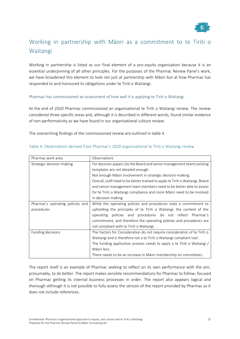![](_page_24_Picture_0.jpeg)

# Working in partnership with Māori as a commitment to te Tiriti o Waitangi

Working in partnership is listed as our final element of a pro-equity organisation because it is an essential underpinning of all other principles. For the purposes of the Pharmac Review Panel's work, we have broadened this element to look not just at partnership with Māori but at how Pharmac has responded to and honoured its obligations under te Tiriti o Waitangi.

#### Pharmac has commissioned an assessment of how well it is applying te Tiriti o Waitangi

At the end of 2020 Pharmac commissioned an organisational te Tiriti o Waitangi review. The review considered three specific areas and, although it is described in different words, found similar evidence of non-performativity as we have found in our organisational culture review.

The overarching findings of the commissioned review are outlined in table 4.

| Pharmac work area                | Observations                                                                  |  |  |  |
|----------------------------------|-------------------------------------------------------------------------------|--|--|--|
| Strategic decision-making        | For decision-papers (to the Board and senior management team) existing        |  |  |  |
|                                  | templates are not detailed enough.                                            |  |  |  |
|                                  | Not enough Māori involvement in strategic decision-making.                    |  |  |  |
|                                  | Overall, staff need to be better trained to apply te Tiriti o Waitangi, Board |  |  |  |
|                                  | and senior management team members need to be better able to assess           |  |  |  |
|                                  | for te Tiriti o Waitangi compliance and more Māori need to be involved        |  |  |  |
|                                  | in decision-making.                                                           |  |  |  |
| Pharmac's operating policies and | While the operating policies and procedures state a commitment to             |  |  |  |
| procedures                       | upholding the principles of te Tiriti o Waitangi, the content of the          |  |  |  |
|                                  | operating policies and procedures do not reflect Pharmac's                    |  |  |  |
|                                  | commitment, and therefore the operating policies and procedures are           |  |  |  |
|                                  | not compliant with te Tiriti o Waitangi.                                      |  |  |  |
| Funding decisions                | The Factors for Consideration do not require consideration of te Tiriti o     |  |  |  |
|                                  | Waitangi and is therefore not a te Tiriti o Waitangi compliant tool.          |  |  |  |
|                                  | The funding application process needs to apply a te Tiriti o Waitangi /       |  |  |  |
|                                  | Māori lens.                                                                   |  |  |  |
|                                  | There needs to be an increase in Māori membership on committees.              |  |  |  |

#### Table 4: Observations derived from Pharmac's 2020 organisational te Tiriti o Waitangi review

The report itself is an example of Pharmac seeking to reflect on its own performance with the aim, presumably, to do better. The report makes sensible recommendations for Pharmac to follow, focused on Pharmac getting its internal business processes in order. The report also appears logical and thorough although it is not possible to fully assess the version of the report provided by Pharmac as it does not include references.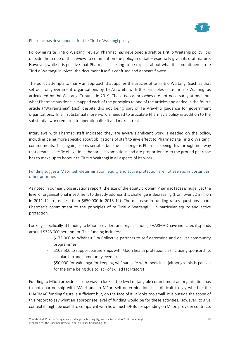![](_page_25_Picture_0.jpeg)

## Pharmac has developed a draft te Tiriti o Waitangi policy

Following its te Tiriti o Waitangi review, Pharmac has developed a draft te Tiriti o Waitangi policy. It is outside the scope of this review to comment on the policy in detail – especially given its draft nature. However, while it is positive that Pharmac is seeking to be explicit about what its commitment to te Tiriti o Waitangi involves, the document itself is confused and appears flawed.

The policy attempts to marry an approach that applies the articles of te Tiriti o Waitangi (such as that set out for government organisations by Te Arawhiti) with the principles of te Tiriti o Waitangi as articulated by the Waitangi Tribunal in 2019. These two approaches are not necessarily at odds but what Pharmac has done is mapped each of the principles to one of the articles and added in the fourth article ("Wairautanga" (sic)) despite this not being part of Te Arawhiti guidance for government organisations. In all, substantial more work is needed to articulate Pharmac's policy in addition to the substantial work required to operationalise it and make it real.

Interviews with Pharmac staff indicated they are aware significant work is needed on the policy, including being more specific about obligations of staff to give effect to Pharmac's te Tiriti o Waitangi commitments. This, again, seems sensible but the challenge is Pharmac seeing this through in a way that creates specific obligations that are also ambitious and are proportionate to the ground pharmac has to make up to honour te Tiriti o Waitangi in all aspects of its work.

## Funding suggests Māori self-determination, equity and active protection are not seen as important as other priorities

As noted in our early observations report, the size of the equity problem Pharmac faces is huge, yet the level of organisational investment to directly address this challenge is decreasing (from over \$2 milllion in 2011-12 to just less than \$650,000 in 2013-14). The decrease in funding raises questions about Pharmac's commitment to the principles of te Tiriti o Waitangi – in particular equity and active protection.

Looking specifically at funding to Māori providers and organisations, PHARMAC have indicated it spends around \$328,000 per annum. This funding includes:

- \$175,000 to Whānau Ora Collective partners to self determine and deliver community programmes
- \$103,500 to support partnerships with Māori health professionals (including sponsorship, scholarship and community events)
- \$50,000 for wānanga for keeping whānau safe with medicines (although this is paused for the time being due to lack of skilled facilitators)

Funding to Māori providers is one way to look at the level of tangible commitment an organisation has to both partnership with Māori and to Māori self-determination. It is difficult to say whether the PHARMAC funding figure is sufficient but, on the face of it, it looks too small. It is outside the scope of this report to say what an appropriate level of funding would be for these activities. However, to give context it might be useful to compare it with how much DHBs are spending on Māori provider contracts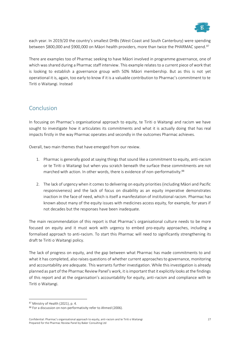![](_page_26_Picture_0.jpeg)

each year. In 2019/20 the country's smallest DHBs (West Coast and South Canterbury) were spending between \$800,000 and \$900,000 on Māori health providers, more than twice the PHARMAC spend.<sup>87</sup>

There are examples too of Pharmac seeking to have Māori involved in programme governance, one of which was shared during a Pharmac staff interview. This example relates to a current piece of work that is looking to establish a governance group with 50% Māori membership. But as this is not yet operational it is, again, too early to know if it is a valuable contribution to Pharmac's commitment to te Tiriti o Waitangi. Instead

# Conclusion

In focusing on Pharmac's organisational approach to equity, te Tiriti o Waitangi and racism we have sought to investigate how it articulates its commitments and what it is actually doing that has real impacts firstly in the way Pharmac operates and secondly in the outcomes Pharmac achieves.

Overall, two main themes that have emerged from our review.

- 1. Pharmac is generally good at saying things that sound like a commitment to equity, anti-racism or te Tiriti o Waitangi but when you scratch beneath the surface these commitments are not marched with action. In other words, there is evidence of non-performativity.<sup>88</sup>
- 2. The lack of urgency when it comes to delivering on equity priorities (including Māori and Pacific responsiveness) and the lack of focus on disability as an equity imperative demonstrates inaction in the face of need, which is itself a manifestation of institutional racism. Pharmac has known about many of the equity issues with medicines access equity, for example, for years if not decades but the responses have been inadequate.

The main recommendation of this report is that Pharmac's organisational culture needs to be more focused on equity and it must work with urgency to embed pro-equity approaches, including a formalised approach to anti-racism. To start this Pharmac will need to significantly strengthening its draft te Tiriti o Waitangi policy.

The lack of progress on equity, and the gap between what Pharmac has made commitments to and what it has completed, also raises questions of whether current approaches to governance, monitoring and accountability are adequate. This warrants further investigation. While this investigation is already planned as part of the Pharmac Review Panel's work, it is important that it explicitly looks at the findings of this report and at the organisation's accountability for equity, anti-racism and compliance with te Tiriti o Waitangi.

<sup>87</sup> Ministry of Health (2021), p. 4.

<sup>88</sup> For a discussion on non-performativity refer to Ahmed (2006).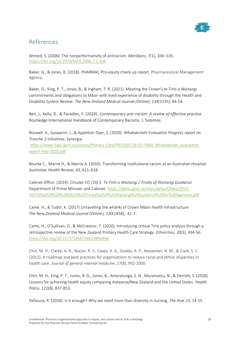![](_page_27_Picture_0.jpeg)

# References

Ahmed, S. (2006). The nonperformativity of antiracism. *Meridians*, *7*(1), 104–126. <https://doi.org/10.2979/MER.2006.7.1.104>

Baker, G., & Jones, B. (2018). PHARMAC Pro-equity check-up report. Pharmaceutical Management Agency.

Baker, G., King, P. T., Jones, B., & Ingham, T. R. (2021). Meeting the Crown's te Tiriti o Waitangi commitments and obligations to Māori with lived experience of disability through the Health and Disability System Review. *The New Zealand Medical Journal (Online)*, *134*(1535), 44-54.

Ben, J., Kelly, D., & Paradies, Y. (2020). *Contemporary anti-racism: A review of effective practice.* Routledge International Handbook of Contemporary Racisms. J. Solomos.

Boswell, A., Gasparini, J., & Appleton-Dyer, S. (2020). *Whakakotahi Evaluation Progress report on Tranche 3 initiatives.* Synergia.

[https://www.hqsc.govt.nz/assets/Primary-Care/PR/2020-29-01-FINAL-Whakakotahi-evaluation](https://www.hqsc.govt.nz/assets/Primary-Care/PR/2020-29-01-FINAL-Whakakotahi-evaluation-report-Feb-2020.pdf)[report-Feb-2020.pdf](https://www.hqsc.govt.nz/assets/Primary-Care/PR/2020-29-01-FINAL-Whakakotahi-evaluation-report-Feb-2020.pdf)

Bourke C., Marrie H., & Marrie A. (2019). Transforming institutional racism at an Australian Hospital. *Australian Health Review*, *43*, 611–618.

Cabinet Office. (2019). *Circular CO (19) 5: Te Tiriti o Waitangi / Treaty of Waitangi Guidance.*  Department of Prime Minister and Cabinet. [https://dpmc.govt.nz/sites/default/files/2019-](https://dpmc.govt.nz/sites/default/files/2019-10/CO%2019%20%285%29%20Treaty%20of%20Waitangi%20Guidance%20for%20Agencies.pdf) [10/CO%2019%20%285%29%20Treaty%20of%20Waitangi%20Guidance%20for%20Agencies.pdf](https://dpmc.govt.nz/sites/default/files/2019-10/CO%2019%20%285%29%20Treaty%20of%20Waitangi%20Guidance%20for%20Agencies.pdf)

Came, H., & Tudor, K. (2017) Unravelling the whāriki of Crown Māori health infrastructure *The New Zealand Medical Journal (Online), 130*(1458), 42-7.

Came, H., O'Sullivan, D., & McCreanor, T. (2020). Introducing critical Tiriti policy analysis through a retrospective review of the New Zealand Primary Health Care Strategy. *Ethnicities, 20*(3), 434-56. <https://doi.org/10.1177/1468796819896466>

Chin, M. H., Clarke, A. R., Nocon, R. S., Casey, A. A., Goddu, A. P., Keesecker, N. M., & Cook, S. C. (2012). A roadmap and best practices for organizations to reduce racial and ethnic disparities in health care. *Journal of general internal medicine*, *27*(8), 992-1000.

Chin, M. H., King, P. T., Jones, R. G., Jones, B., Ameratunga, S. N., Muramatsu, N., & Derrett, S. (2018). Lessons for achieving health equity comparing Aotearoa/New Zealand and the United States. *Health Policy*, *122*(8), 837-853.

DeSouza, R. (2018). Is it enough? Why we need more than diversity in nursing. *The Hive 23*, 14-15.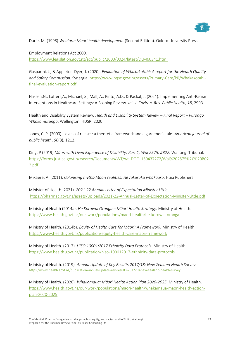![](_page_28_Picture_0.jpeg)

Durie, M. (1998) *Whaiora: Maori health development* (Second Edition). Oxford University Press.

Employment Relations Act 2000. <https://www.legislation.govt.nz/act/public/2000/0024/latest/DLM60341.html>

Gasparini, J., & Appleton-Dyer, J. (2020). *Evaluation of Whakakotahi: A report for the Health Quality and Safety Commission.* Synergia. [https://www.hqsc.govt.nz/assets/Primary-Care/PR/Whakakotahi](https://www.hqsc.govt.nz/assets/Primary-Care/PR/Whakakotahi-final-evaluation-report.pdf)[final-evaluation-report.pdf](https://www.hqsc.govt.nz/assets/Primary-Care/PR/Whakakotahi-final-evaluation-report.pdf)

Hassen,N., Lofters,A., Michael, S., Mall, A., Pinto, A.D., & Rackal, J. (2021). Implementing Anti-Racism Interventions in Healthcare Settings: A Scoping Review. *Int. J. Environ. Res. Public Health, 18*, 2993.

Health and Disability System Review. *Health and Disability System Review – Final Report – Pūrongo Whakamutunga*. Wellington: HDSR; 2020.

Jones, C. P. (2000). Levels of racism: a theoretic framework and a gardener's tale. *American journal of public health*, *90*(8), 1212.

King, P (2019) *Māori with Lived Experience of Disability: Part 1, Wai 2575, #B22.* Waitangi Tribunal. [https://forms.justice.govt.nz/search/Documents/WT/wt\\_DOC\\_150437272/Wai%202575%2C%20B02](https://forms.justice.govt.nz/search/Documents/WT/wt_DOC_150437272/Wai%202575%2C%20B022.pdf) [2.pdf](https://forms.justice.govt.nz/search/Documents/WT/wt_DOC_150437272/Wai%202575%2C%20B022.pdf)

Mikaere, A. (2011). *Colonising myths-Maori realities: He rukuruku whakaaro*. Huia Publishers.

Minister of Health (2021). *2021-22 Annual Letter of Expectation Minister Little.* <https://pharmac.govt.nz/assets/Uploads/2021-22-Annual-Letter-of-Expectation-Minister-Little.pdf>

Ministry of Health (2014a). *He Korowai Oranga – Māori Health Strategy*. Ministry of Health. <https://www.health.govt.nz/our-work/populations/maori-health/he-korowai-oranga>

Ministry of Health. (2014b). *Equity of Health Care for Māori: A Framework.* Ministry of Health. <https://www.health.govt.nz/publication/equity-health-care-maori-framework>

Ministry of Health. (2017). *HISO 10001:2017 Ethnicity Data Protocols*. Ministry of Health. <https://www.health.govt.nz/publication/hiso-100012017-ethnicity-data-protocols>

Ministry of Health. (2019). *Annual Update of Key Results 2017/18: New Zealand Health Survey.* <https://www.health.govt.nz/publication/annual-update-key-results-2017-18-new-zealand-health-survey>

Ministry of Health. (2020). *Whakamaua: Māori Health Action Plan 2020-2025.* Ministry of Health. [https://www.health.govt.nz/our-work/populations/maori-health/whakamaua-maori-health-action](https://www.health.govt.nz/our-work/populations/maori-health/whakamaua-maori-health-action-plan-2020-2025)[plan-2020-2025](https://www.health.govt.nz/our-work/populations/maori-health/whakamaua-maori-health-action-plan-2020-2025)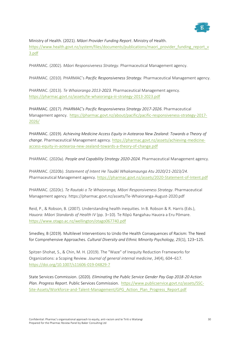![](_page_29_Picture_0.jpeg)

Ministry of Health. (2021). *Māori Provider Funding Report*. Ministry of Health. [https://www.health.govt.nz/system/files/documents/publications/maori\\_provider\\_funding\\_report\\_v](https://www.health.govt.nz/system/files/documents/publications/maori_provider_funding_report_v3.pdf) [3.pdf](https://www.health.govt.nz/system/files/documents/publications/maori_provider_funding_report_v3.pdf)

PHARMAC. (2002). *Māori Responsiveness Strategy*. Pharmaceutical Management agency.

PHARMAC. (2010). PHARMAC's *Pacific Responsiveness Strategy.* Pharmaceutical Management agency.

PHARMAC. (2013). *Te Whaioranga 2013-2023.* Pharmaceutical Management agency. <https://pharmac.govt.nz/assets/te-whaioranga-iii-strategy-2013-2023.pdf>

PHARMAC. (2017). *PHARMAC's Pacific Responsiveness Strategy 2017-2026*. Pharmaceutical Management agency. [https://pharmac.govt.nz/about/pacific/pacific-responsiveness-strategy-2017-](https://pharmac.govt.nz/about/pacific/pacific-responsiveness-strategy-2017-2026/) [2026/](https://pharmac.govt.nz/about/pacific/pacific-responsiveness-strategy-2017-2026/)

PHARMAC. (2019). *Achieving Medicine Access Equity in Aotearoa New Zealand: Towards a Theory of change.* Pharmaceutical Management agency. [https://pharmac.govt.nz/assets/achieving-medicine](https://pharmac.govt.nz/assets/achieving-medicine-access-equity-in-aotearoa-new-zealand-towards-a-theory-of-change.pdf)[access-equity-in-aotearoa-new-zealand-towards-a-theory-of-change.pdf](https://pharmac.govt.nz/assets/achieving-medicine-access-equity-in-aotearoa-new-zealand-towards-a-theory-of-change.pdf)

PHARMAC. (2020a). *People and Capability Strategy 2020-2024.* Pharmaceutical Management agency.

PHARMAC. (2020b). *Statement of Intent He Tauākī Whakamaunga Atu 2020/21-2023/24.*  Pharmaceutical Management agency.<https://pharmac.govt.nz/assets/2020-Statement-of-Intent.pdf>

PHARMAC. (2020c). *Te Rautaki o Te Whaioranga, Māori Responsiveness Strategy*. Pharmaceutical Management agency. https://pharmac.govt.nz/assets/Te-Whaioranga-August-2020.pdf

Reid, P., & Robson, B. (2007). Understanding health inequities. In B. Robson & R. Harris (Eds.), *Hauora: Māori Standards of Health IV* (pp. 3*–*10)*.* Te Rōpū Rangahau Hauora a Eru Pōmare. <https://www.otago.ac.nz/wellington/otago067740.pdf>

Smedley, B (2019). Multilevel Interventions to Undo the Health Consequences of Racism: The Need for Comprehensive Approaches*. Cultural Diversity and Ethnic Minority Psychology, 25*(1), 123–125.

Spitzer-Shohat, S., & Chin, M. H. (2019). The "Waze" of Inequity Reduction Frameworks for Organizations: a Scoping Review. *Journal of general internal medicine*, *34*(4), 604–617. <https://doi.org/10.1007/s11606-019-04829-7>

State Services Commission. (2020). *Eliminating the Public Service Gender Pay Gap 2018-20 Action Plan. Progress Report*. Public Services Commission. [https://www.publicservice.govt.nz/assets/SSC-](https://www.publicservice.govt.nz/assets/SSC-Site-Assets/Workforce-and-Talent-Management/GPG_Action_Plan_Progress_Report.pdf)[Site-Assets/Workforce-and-Talent-Management/GPG\\_Action\\_Plan\\_Progress\\_Report.pdf](https://www.publicservice.govt.nz/assets/SSC-Site-Assets/Workforce-and-Talent-Management/GPG_Action_Plan_Progress_Report.pdf)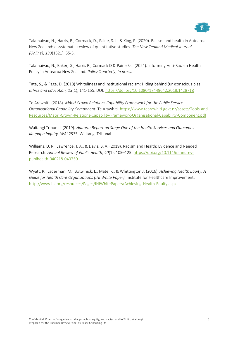![](_page_30_Figure_0.jpeg)

Talamaivao, N., Harris, R., Cormack, D., Paine, S. J., & King, P. (2020). Racism and health in Aotearoa New Zealand: a systematic review of quantitative studies. *The New Zealand Medical Journal (Online)*, *133*(1521), 55-5.

Talamaivao, N., Baker, G., Harris R., Cormack D & Paine S-J. (2021). Informing Anti-Racism Health Policy in Aotearoa New Zealand*. Policy Quarterly*, *in press.*

Tate, S., & Page, D. (2018) Whiteliness and institutional racism: Hiding behind (un)conscious bias. *Ethics and Education, 13*(1), 141-155. DOI:<https://doi.org/10.1080/17449642.2018.1428718>

Te Arawhiti. (2018). *Māori Crown Relations Capability Framework for the Public Service – Organisational Capability Component*. Te Arawhiti. [https://www.tearawhiti.govt.nz/assets/Tools-and-](https://www.tearawhiti.govt.nz/assets/Tools-and-Resources/Maori-Crown-Relations-Capability-Framework-Organisational-Capability-Component.pdf)[Resources/Maori-Crown-Relations-Capability-Framework-Organisational-Capability-Component.pdf](https://www.tearawhiti.govt.nz/assets/Tools-and-Resources/Maori-Crown-Relations-Capability-Framework-Organisational-Capability-Component.pdf)

Waitangi Tribunal. (2019). *Hauora: Report on Stage One of the Health Services and Outcomes Kaupapa Inquiry, WAI 2575*. Waitangi Tribunal.

Williams, D. R., Lawrence, J. A., & Davis, B. A. (2019). Racism and Health: Evidence and Needed Research. *Annual Review of Public Health*, *40*(1), 105–125[. https://doi.org/10.1146/annurev](https://doi.org/10.1146/annurev-publhealth-040218-043750)[publhealth-040218-043750](https://doi.org/10.1146/annurev-publhealth-040218-043750)

Wyatt, R., Laderman, M., Botwinick, L., Mate, K., & Whittington J. (2016). *Achieving Health Equity: A Guide for Health Care Organizations (IHI White Paper).* Institute for Healthcare Improvement. <http://www.ihi.org/resources/Pages/IHIWhitePapers/Achieving-Health-Equity.aspx>